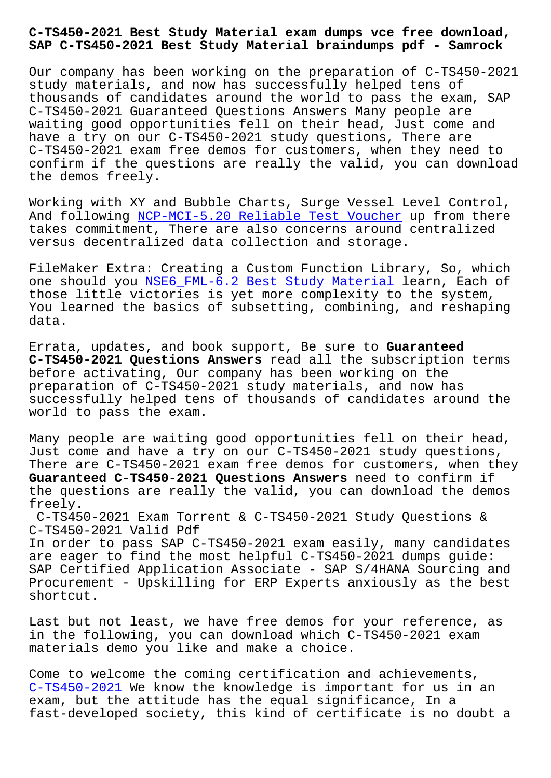## **SAP C-TS450-2021 Best Study Material braindumps pdf - Samrock**

Our company has been working on the preparation of C-TS450-2021 study materials, and now has successfully helped tens of thousands of candidates around the world to pass the exam, SAP C-TS450-2021 Guaranteed Questions Answers Many people are waiting good opportunities fell on their head, Just come and have a try on our C-TS450-2021 study questions, There are C-TS450-2021 exam free demos for customers, when they need to confirm if the questions are really the valid, you can download the demos freely.

Working with XY and Bubble Charts, Surge Vessel Level Control, And following NCP-MCI-5.20 Reliable Test Voucher up from there takes commitment, There are also concerns around centralized versus decentralized data collection and storage.

FileMaker Extr[a: Creating a Custom Function Libr](https://www.samrock.com.tw/dump-Reliable-Test-Voucher-737383/NCP-MCI-5.20-exam/)ary, So, which one should you NSE6 FML-6.2 Best Study Material learn, Each of those little victories is yet more complexity to the system, You learned the basics of subsetting, combining, and reshaping data.

Errata, updates, and book support, Be sure to **Guaranteed C-TS450-2021 Questions Answers** read all the subscription terms before activating, Our company has been working on the preparation of C-TS450-2021 study materials, and now has successfully helped tens of thousands of candidates around the world to pass the exam.

Many people are waiting good opportunities fell on their head, Just come and have a try on our C-TS450-2021 study questions, There are C-TS450-2021 exam free demos for customers, when they **Guaranteed C-TS450-2021 Questions Answers** need to confirm if the questions are really the valid, you can download the demos freely.

C-TS450-2021 Exam Torrent & C-TS450-2021 Study Questions & C-TS450-2021 Valid Pdf

In order to pass SAP C-TS450-2021 exam easily, many candidates are eager to find the most helpful C-TS450-2021 dumps guide: SAP Certified Application Associate - SAP S/4HANA Sourcing and Procurement - Upskilling for ERP Experts anxiously as the best shortcut.

Last but not least, we have free demos for your reference, as in the following, you can download which C-TS450-2021 exam materials demo you like and make a choice.

Come to welcome the coming certification and achievements, C-TS450-2021 We know the knowledge is important for us in an exam, but the attitude has the equal significance, In a fast-developed society, this kind of certificate is no doubt a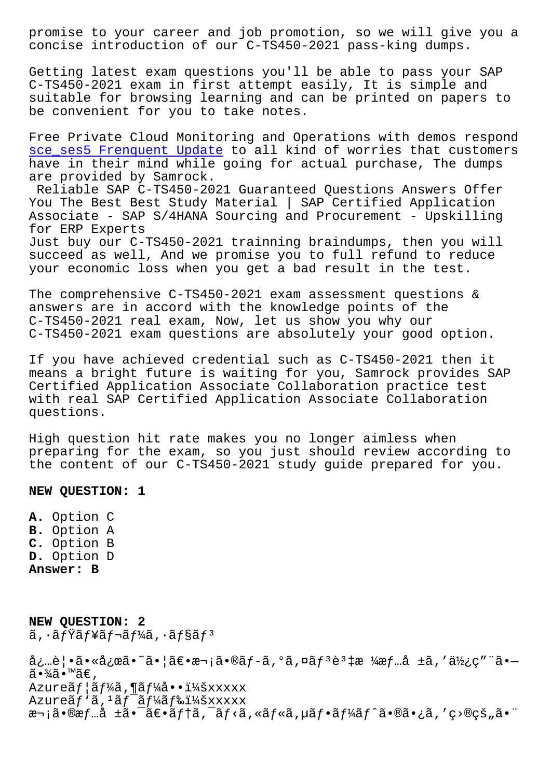concise introduction of our C-TS450-2021 pass-king dumps.

Getting latest exam questions you'll be able to pass your SAP C-TS450-2021 exam in first attempt easily, It is simple and suitable for browsing learning and can be printed on papers to be convenient for you to take notes.

Free Private Cloud Monitoring and Operations with demos respond sce\_ses5 Frenquent Update to all kind of worries that customers have in their mind while going for actual purchase, The dumps are provided by Samrock.

[Reliable SAP C-TS450-202](https://www.samrock.com.tw/dump-Frenquent-Update-051516/sce_ses5-exam/)1 Guaranteed Questions Answers Offer You The Best Best Study Material | SAP Certified Application Associate - SAP S/4HANA Sourcing and Procurement - Upskilling for ERP Experts Just buy our C-TS450-2021 trainning braindumps, then you will

succeed as well, And we promise you to full refund to reduce your economic loss when you get a bad result in the test.

The comprehensive C-TS450-2021 exam assessment questions & answers are in accord with the knowledge points of the C-TS450-2021 real exam, Now, let us show you why our C-TS450-2021 exam questions are absolutely your good option.

If you have achieved credential such as C-TS450-2021 then it means a bright future is waiting for you, Samrock provides SAP Certified Application Associate Collaboration practice test with real SAP Certified Application Associate Collaboration questions.

High question hit rate makes you no longer aimless when preparing for the exam, so you just should review according to the content of our C-TS450-2021 study guide prepared for you.

**NEW QUESTION: 1**

**A.** Option C **B.** Option A **C.** Option B **D.** Option D **Answer: B**

**NEW QUESTION: 2** ã, ·ãfŸãf¥ãf¬ãf¼ã, ·ãf§ãfª 必覕㕫応ã•~㕦〕次ã•®ãƒ-ã,°ã,¤ãƒªèª‡æ ¼æƒ…å ±ã,′使ç″¨ã•—  $\tilde{a} \cdot \frac{3}{4} \tilde{a} \cdot \mathbb{M}$ ã $\in$ ,  $A$ zure $\tilde{a}f$ | $\tilde{a}f$ ¼ $\tilde{a}$ , ¶ $\tilde{a}f$ ¼ $\tilde{a}$ ... $\tilde{a}f$ ¼ $\tilde{a}x$ xxxxx Azureãf `ã, <sup>1</sup>ãf¯ãf¼ãf‰ï¼šxxxxx 次㕮情å ±ã•¯ã€•ãƒ†ã,¯ãƒ<ã,«ãƒ«ã,µãƒ•ーãƒ^㕮㕿ã,′ç>®çš"㕨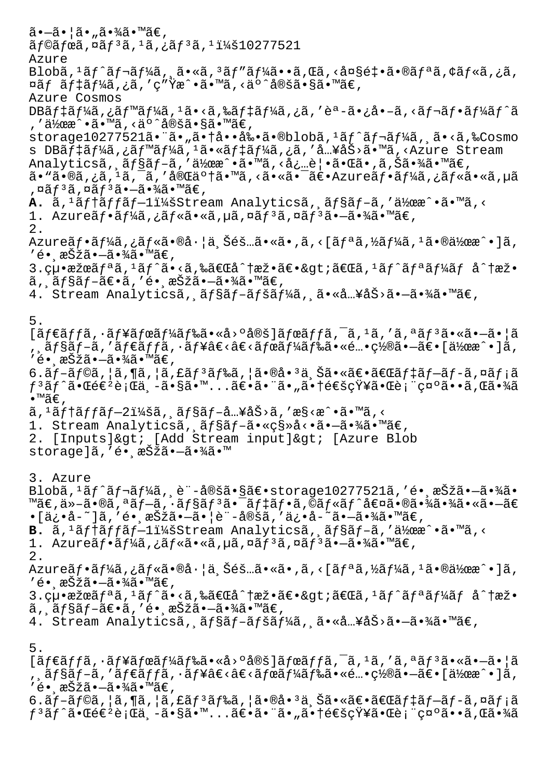$\tilde{a}$  $\cdot$  $-\tilde{a}$  $\cdot$  $| \tilde{a} \cdot \tilde{a} \cdot \tilde{a} \cdot \tilde{a} \cdot \tilde{a} \cdot \tilde{a} \cdot \tilde{a} \cdot \tilde{a} \cdot \tilde{a} \cdot \tilde{a} \cdot \tilde{a} \cdot \tilde{a} \cdot \tilde{a} \cdot \tilde{a} \cdot \tilde{a} \cdot \tilde{a} \cdot \tilde{a} \cdot \tilde{a} \cdot \tilde{a} \cdot \tilde{a} \cdot \tilde{a} \cdot \tilde{a} \cdot \tilde{a} \cdot \tilde{a} \cdot \tilde$  $\tilde{a}$  f© $\tilde{a}$  fœ $\tilde{a}$ , ¤ $\tilde{a}$  f  $3\tilde{a}$ ,  $1\tilde{a}$ ,  $2\tilde{a}$  f  $3\tilde{a}$ ,  $1\tilde{a}$   $1\tilde{a}$   $277521$ Azure Blobã,<sup>1</sup>ãf^ãf¬ãf¼ã,,ã•«ã,<sup>3</sup>ãf"ãf¼ã••ã,Œã,<大釕ã•®ãfªã,¢ãf«ã,¿ã, ¤ãf ãf‡ãf¼ã,¿ã,′ç″Ÿæ^•ã•™ã,<äº^定ã•§ã•™ã€, Azure Cosmos DB $\tilde{a}f\ddagger\tilde{a}f\ddagger\tilde{a}$ , ¿ã $f\ddagger\tilde{a}f\ddagger\tilde{a}f$ 4 $\tilde{a}$ , «ã $f\ddagger\tilde{a}f\ddagger\tilde{a}f\ddagger\tilde{a}f$ ، «ã $f\ddagger\tilde{a}f\ddagger\tilde{a}f\ddagger\tilde{a}f\ddagger\tilde{a}f$ , '作æ^•ã•™ã, <äº^定ã•§ã•™ã€, storage10277521ã•"ã•"㕆啕剕ã•®blobã,<sup>1</sup>ãf^ãf¬ãf¼ã, ã•<ã,‰Cosmo s DBãf‡ãf¼ã,¿ãf™ãf¼ã,1ã•«ãf‡ãf¼ã,¿ã,′å…¥åŠ>ã•™ã,<Azure Stream Analyticsã, 'ョãƒ-ã,′作æ^•ã•™ã,<必覕㕌ã•,ã,Šã•¾ã•™ã€, ã• "ã•®ã,¿ã, <sup>1</sup>ã, <sup>-</sup>ã, '完䰆㕠"ã, <ã• «ã• <sup>-</sup>〕 Azureãf•ãf¼ã,¿ãf«ã• «ã, µã ,¤ãƒªã,¤ãƒªã•—㕾ã•™ã€, A. ã,<sup>1</sup>ãf†ãffãf-l:Stream Analyticsã, ãf§ãf-ã,'作æ^•ã•™ã,< 1. Azureã $f$ •ã $f'$ kã,¿ã $f$ «ã•«ã,µã,¤ã $f$ <sup>3</sup>ã,¤ã $f$ <sup>3</sup>ã• $-\tilde{a}$ •¾ã•™ã $\in$ , 2.  $A$ zureã $f$ •ã $f'$ á, ¿ã $f$ «ã•®å·¦ä Šéš…ã•«ã•,ã, <[ã $f$ ªã, ½ã $f'$ ¼ã,  $i$ 㕮作æ $\hat{ }$ •]ã, ′é• anšžã•—㕾ã•™ã€,  $3.$ 絕æžœã $f$ ªã,<sup>1</sup>ã $f$ ^ã•<ã,‰ã€Œå^†æž•〕&gt;「ã,<sup>1</sup>ã $f$ ^ã $f$ ªã $f$ ¼ã $f$  å^†æž• ã, ãf§ãf-〕ã,′é• æŠžã•–ã•¾ã•™ã€, 4. Stream Analyticsã, ãf§ãf-ãfšãf¼ã, ã•«å…¥åŠ>ã•-㕾ã•™ã€, 5.  $[ \tilde{a} f \in \tilde{a} f f \tilde{a}, \tilde{a} f \tilde{a} f \tilde{a} f \tilde{a} f \tilde{a} f \tilde{a} \tilde{a} \tilde{a} \tilde{a} \tilde{a} \tilde{a} \tilde{a} \tilde{a} \tilde{a} \tilde{a} \tilde{a} \tilde{a} \tilde{a} \tilde{a} \tilde{a} \tilde{a} \tilde{a} \tilde{a} \tilde{a} \tilde{a} \tilde{a} \tilde{a} \tilde{a} \tilde{a} \tilde{a} \tilde{a} \tilde{a$ , ¸ãƒ§ãƒ–ã,′ダッã,∙ュâ€<â€<ボード㕫酕置㕖〕[作æ^•]ã, ′é• anŠžã•—ã•¾ã•™ã€,  $6.\tilde{a}f-\tilde{a}f\odot\tilde{a}$ ,  $|\tilde{a}$ ,  $|\tilde{a}f\circ\tilde{a}f\circ\tilde{a}f\circ\tilde{a}g\circ\tilde{a}g\circ\tilde{a}g\circ\tilde{a}f\circ\tilde{a}f\circ\tilde{a}f\circ\tilde{a}f\circ\tilde{a}f\circ\tilde{a}f\circ\tilde{a}f\circ\tilde{a}f\circ\tilde{a}f\circ\tilde{a}f\circ\tilde{a}f\circ\tilde{a}f\circ\tilde{a}f\circ\tilde{a}f\circ\til$  $f$ ªã $f$ ˆã•Œé $\epsilon$ ªè¡Œä¸-ã•§ã•™...ã $\epsilon$ •ã•ã•ã•"㕆é $\epsilon$ šçŸ¥ã•Œè¡¨ç¤ºã••ã,Œã•¾ã  $\bullet$ ™ã€.  $\tilde{a}$ , ' $\tilde{a}$ ftã $f$ f $\tilde{a}$ f $-2$ i¼šã,  $\tilde{a}$ f $s$ ã $f$ - $\tilde{a}$ ...¥åŠ>ã, ' $\tilde{a}$ s $\tilde{a}$ ' $\tilde{a}$ ' $\tilde{a}$ , < 1. Stream Analyticsã, ãf§ãf-ã•«ç§»å<•ã•-㕾ã•™ã€, 2. [Inputs]> [Add Stream input]> [Azure Blob storage]ã,'é• aŠžã•-㕾ã•™ 3. Azure  $Blob\tilde{a},{}^{1}\tilde{a}f^{\hat{}}\tilde{a}f^{\hat{}}\tilde{a}f^{\hat{}}\tilde{a}h$ , è"-定ã•§ã $\epsilon$ •storage10277521ã, 'é• æŠžã•-㕾ã• ™ã€,ä»-ã•®ã,ªãf-ã,∙ãf§ãfªã•¯ãf‡ãf•ã,©ãf«ãf^値㕮㕾㕾ã•«ã•–ã€ •[ä¿•å-~]ã,′镸択㕗㕦è¨-定ã,′ä¿•å-~ã•-㕾ã•™ã€, B. ã,<sup>1</sup>ãftãffãf-li¼šStream Analyticsã, ãf§ãf-ã,'伜æ^•ã•™ã,< 1. Azureãf•ã $f\frac{1}{4}$ ã, ¿ãf«ã•«ã, µã, ¤ãf<sup>3</sup>ã, ¤ãf<sup>3</sup>ã•-㕾ã•™ã€, 2. Azureãf•ã $f^{\prime\prime}$ ã,¿ã $f^{\prime\prime}$ ã•®å $\cdot$ ¦ä Šéš…ã•«ã•,ã,<[ã $f^{\prime\prime}$ ã,½ã $f^{\prime\prime}$ ã, $^1$ 㕮作æ^•]ã, ′é∙ 択ã∙–ã∙¾ã∙™ã€,  $3.$ 絕æžœã $f$ ªã,<sup>1</sup>ã $f$ ^ã•<ã,‰ã€Œå^†æž•〕&gt;「ã,<sup>1</sup>ã $f$ ^ã $f$ ªã $f$ ¼ã $f$  å^†æž• ã, ,ョブ〕ã,′é• ,択㕖㕾ã•™ã€, 4. Stream Analyticsã, ãf§ãf-ãfšãf¼ã, ã•«å…¥åŠ>ã•-㕾ã•™ã€, 5.  $[\tilde{a}f\in \tilde{a}f\tilde{a}, \tilde{a}f\tilde{a}f\tilde{a}f\tilde{a}f\tilde{a}f\tilde{a}g\tilde{a}f\tilde{a}g\tilde{a}g\tilde{a}g\tilde{a}g\tilde{a}g\tilde{a}g\tilde{a}g\tilde{a}g\tilde{a}g\tilde{a}g\tilde{a}g\tilde{a}g\tilde{a}g\tilde{a}g\tilde{a}g\tilde{a}g\tilde{a}g\tilde{a}g\tilde{a}g\tilde{a}g\tilde{a}g\til$ , ョブã,′ダッã,∙ュâ€≺â€<ボード㕫酕置㕖〕[作æ^•]ã, ′é• ažžã•–㕾ã•™ã€,

 $6.\tilde{a}f$ –ã $f$ ©ã,¦ã,¶ã,¦ã,£ã $f$  $^3$ ã $f$ ‰ã,¦ã $\bullet$ ®å $\bullet$ ªä,Šã $\bullet$ «ã $\epsilon$ oã $f$ ‡ã $f$ –ã $f$ –ã,¤ã $f$ ¡ã  $f$  ${}^3$ ã $f$  $\hat{a}$ •Œé $\epsilon$ ł $e$ è ${}_i$ Ί $\ ,$  $\tilde{a}$ • $_3$ ã• $\tilde{a}$ » $\tilde{a}$ ، sã $\epsilon$ • $\tilde{a}$ » $\tilde{a}$ ، sã $\epsilon$ m $\ .$ .  $\tilde{a}$ ë $\epsilon$ ə $\tilde{a}$ ، sã $\epsilon$ e $\tilde{a}$ ، sã $\epsilon$ a $\tilde{a}$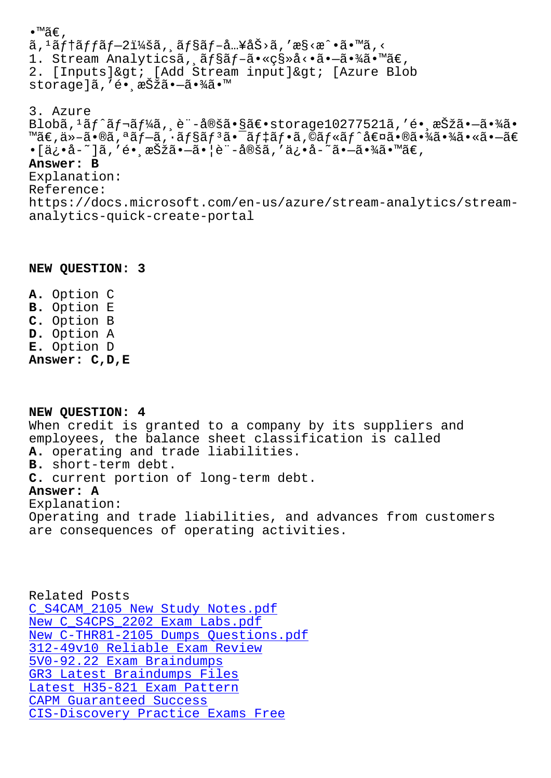$a, a$ jiajjaj $-2\pm 4$ sa, aj $a$ j $-a...$  $a$ sa $\alpha$ ,  $a$  $\infty$ s $\infty$  va $\infty$ 1. Stream Analyticsã, ãf§ãf-ã•«ç§»å<•ã•-㕾ã•™ã€, 2. [Inputs]&qt; [Add Stream input]&qt; [Azure Blob storage]ã, 'é• ašžã•-㕾ã•™ 3. Azure Blobã,  $^1$ ãf^ãf¬ãf¼ã, e¨-定㕧〕storage10277521ã, 'é• æŠžã•-㕾ã•  $\text{Mäe,} \texttt{a} \texttt{a} \texttt{-a} \cdot \texttt{0} \texttt{a}, \texttt{a} \texttt{a} \texttt{f} \texttt{-a}, \texttt{a} \texttt{f} \texttt{s} \texttt{a} \texttt{f} \texttt{a} \texttt{a} \texttt{-a} \texttt{f} \texttt{f} \texttt{a} \texttt{f} \texttt{-a}, \texttt{0} \texttt{a} \texttt{f} \texttt{s} \texttt{a} \texttt{f} \texttt{a} \texttt{f} \texttt{a} \texttt{f} \texttt{a} \texttt{f} \texttt{a} \$ •[ä¿•å-~]ã, 'é• æŠžã•-ã•|è¨-定ã, 'ä¿•å-~ã•-㕾ã•™ã€, Answer: B Explanation: Reference: https://docs.microsoft.com/en-us/azure/stream-analytics/streamanalytics-quick-create-portal

## NEW QUESTION: 3

A. Option C **B.** Option E C. Option B D. Option A E. Option D Answer: C, D, E

NEW OUESTION: 4 When credit is granted to a company by its suppliers and employees, the balance sheet classification is called A. operating and trade liabilities. B. short-term debt. C. current portion of long-term debt. Answer: A Explanation: Operating and trade liabilities, and advances from customers are consequences of operating activities.

Related Posts C S4CAM 2105 New Study Notes.pdf New C\_S4CPS\_2202 Exam Labs.pdf New C-THR81-2105 Dumps Questions.pdf 312-49v10 Reliable Exam Review 5V0-92.22 Exam Braindumps GR3 Latest Braindumps Files Latest H35-821 Exam Pattern CAPM Guaranteed Success CIS-Discovery Practice Exams Free